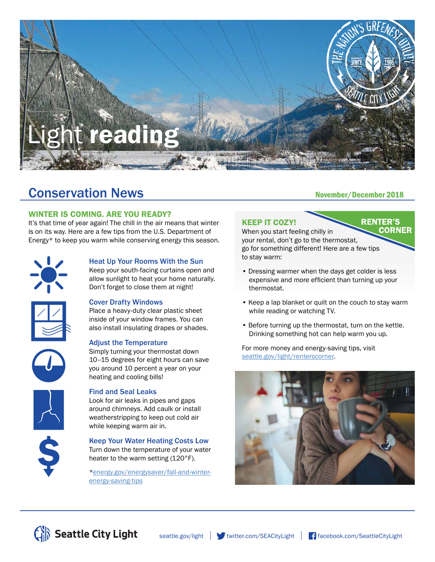

# Conservation News<br>
November/December 2018

# WINTER IS COMING. ARE YOU READY?

It's that time of year again! The chill in the air means that winter is on its way. Here are a few tips from the U.S. Department of Energy\* to keep you warm while conserving energy this season.



 $\frac{1}{\sqrt{2}}$ 

## Heat Up Your Rooms With the Sun

Keep your south-facing curtains open and allow sunlight to heat your home naturally. Don't forget to close them at night!

#### Cover Drafty Windows

Place a heavy-duty clear plastic sheet inside of your window frames. You can also install insulating drapes or shades.

#### Adjust the Temperature

Simply turning your thermostat down 10–15 degrees for eight hours can save you around 10 percent a year on your heating and cooling bills!

#### Find and Seal Leaks

Look for air leaks in pipes and gaps around chimneys. Add caulk or install weatherstripping to keep out cold air while keeping warm air in.

Keep Your Water Heating Costs Low Turn down the temperature of your water heater to the warm setting (120°F).

[\\*energy.gov/energysaver/fall-and-winter](http://www.energy.gov/energysaver/fall-and-winter-energy-saving-tips)energy-saving-tips

**RENTER'S** 

# KEEP IT COZY!

**CORNER** When you start feeling chilly in your rental, don't go to the thermostat, go for something different! Here are a few tips to stay warm:

- Dressing warmer when the days get colder is less expensive and more efficient than turning up your thermostat.
- Keep a lap blanket or quilt on the couch to stay warm while reading or watching TV.
- Before turning up the thermostat, turn on the kettle. Drinking something hot can help warm you up.

For more money and energy-saving tips, visit [seattle.gov/light/renterscorner.](http://www.seattle.gov/light/renterscorner)



Seattle City Light

[seattle.gov/light](http://www.seattle.gov/light) witter.com/SEACityLight [facebook.com/SeattleCityLight](http://www.facebook.com/SeattleCityLight)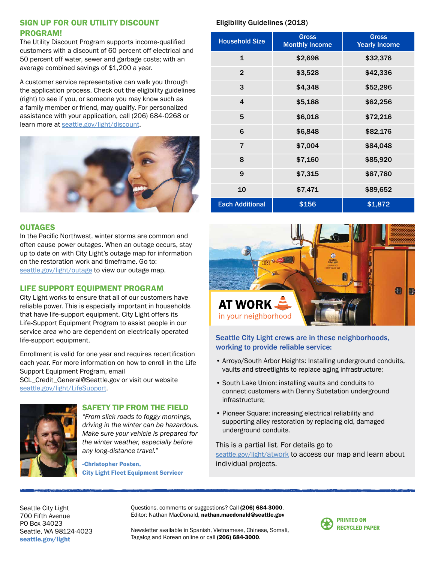# SIGN UP FOR OUR UTILITY DISCOUNT PROGRAM!

The Utility Discount Program supports income-qualified customers with a discount of 60 percent off electrical and 50 percent off water, sewer and garbage costs; with an average combined savings of \$1,200 a year.

A customer service representative can walk you through the application process. Check out the eligibility guidelines (right) to see if you, or someone you may know such as a family member or friend, may qualify. For personalized assistance with your application, call (206) 684-0268 or learn more at [seattle.gov/light/discount.](http://www.seattle.gov/light/discount)



### **OUTAGES**

In the Pacific Northwest, winter storms are common and often cause power outages. When an outage occurs, stay up to date on with City Light's outage map for information on the restoration work and timeframe. Go to: [seattle.gov/light/outage](http://www.seattle.gov/light/outage) to view our outage map.

## LIFE SUPPORT EQUIPMENT PROGRAM

City Light works to ensure that all of our customers have reliable power. This is especially important in households that have life-support equipment. City Light offers its Life-Support Equipment Program to assist people in our service area who are dependent on electrically operated life-support equipment.

Enrollment is valid for one year and requires recertification each year. For more information on how to enroll in the Life Support Equipment Program, email

SCL\_Credit\_General@Seattle.gov or visit our website [seattle.gov/light/LifeSupport.](http://www.seattle.gov/light/LifeSupport)



#### SAFETY TIP FROM THE FIELD

*"From slick roads to foggy mornings, driving in the winter can be hazardous. Make sure your vehicle is prepared for the winter weather, especially before any long-distance travel."*

-Christopher Posten, City Light Fleet Equipment Servicer

## Eligibility Guidelines (2018)

| <b>Household Size</b>  | <b>Gross</b><br><b>Monthly Income</b> | <b>Gross</b><br><b>Yearly Income</b> |
|------------------------|---------------------------------------|--------------------------------------|
| $\mathbf{1}$           | \$2,698                               | \$32,376                             |
| $\overline{2}$         | \$3,528                               | \$42,336                             |
| 3                      | \$4,348                               | \$52,296                             |
| 4                      | \$5,188                               | \$62,256                             |
| 5                      | \$6,018                               | \$72,216                             |
| 6                      | \$6,848                               | \$82,176                             |
| $\overline{7}$         | \$7,004                               | \$84,048                             |
| 8                      | \$7,160                               | \$85,920                             |
| 9                      | \$7,315                               | \$87,780                             |
| 10                     | \$7,471                               | \$89,652                             |
| <b>Each Additional</b> | \$156                                 | \$1,872                              |



# Seattle City Light crews are in these neighborhoods, working to provide reliable service:

- Arroyo/South Arbor Heights: Installing underground conduits, vaults and streetlights to replace aging infrastructure;
- South Lake Union: installing vaults and conduits to connect customers with Denny Substation underground infrastructure;
- Pioneer Square: increasing electrical reliability and supporting alley restoration by replacing old, damaged underground conduits.

This is a partial list. For details go to [seattle.gov/light/atwork](http://www.seattle.gov/light/atwork) to access our map and learn about individual projects.

Seattle City Light 700 Fifth Avenue PO Box 34023 Seattle, WA 98124-4023 [seattle.gov/light](http://www.seattle.gov/light)

Questions, comments or suggestions? Call (206) 684-3000. Editor: Nathan MacDonald, nathan.macdonald@seattle.gov



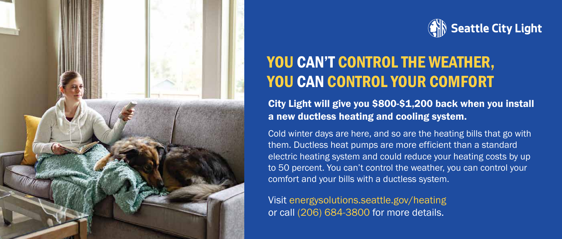



# YOU CAN'T CONTROL THE WEATHER, YOU CAN CONTROL YOUR COMFORT

City Light will give you \$800-\$1,200 back when you install a new ductless heating and cooling system.

Cold winter days are here, and so are the heating bills that go with them. Ductless heat pumps are more efficient than a standard electric heating system and could reduce your heating costs by up to 50 percent. You can't control the weather, you can control your comfort and your bills with a ductless system.

Visit [energysolutions.seattle.gov/heating](http://www.energysolutions.seattle.gov/heating) or call (206) 684-3800 for more details.